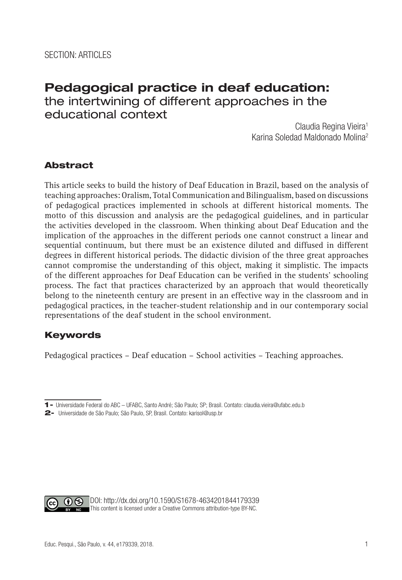# **Pedagogical practice in deaf education:** the intertwining of different approaches in the educational context

Claudia Regina Vieira<sup>1</sup> Karina Soledad Maldonado Molina2

## Abstract

This article seeks to build the history of Deaf Education in Brazil, based on the analysis of teaching approaches: Oralism, Total Communication and Bilingualism, based on discussions of pedagogical practices implemented in schools at different historical moments. The motto of this discussion and analysis are the pedagogical guidelines, and in particular the activities developed in the classroom. When thinking about Deaf Education and the implication of the approaches in the different periods one cannot construct a linear and sequential continuum, but there must be an existence diluted and diffused in different degrees in different historical periods. The didactic division of the three great approaches cannot compromise the understanding of this object, making it simplistic. The impacts of the different approaches for Deaf Education can be verified in the students' schooling process. The fact that practices characterized by an approach that would theoretically belong to the nineteenth century are present in an effective way in the classroom and in pedagogical practices, in the teacher-student relationship and in our contemporary social representations of the deaf student in the school environment.

## Keywords

Pedagogical practices – Deaf education – School activities – Teaching approaches.



DOI: http://dx.doi.org/10.1590/S1678-4634201844179339 This content is licensed under a Creative Commons attribution-type BY-NC.

<sup>1-</sup> Universidade Federal do ABC – UFABC, Santo André; São Paulo; SP; Brasil. Contato: claudia.vieira@ufabc.edu.b

<sup>2-</sup> Universidade de São Paulo; São Paulo, SP, Brasil. Contato: karisol@usp.br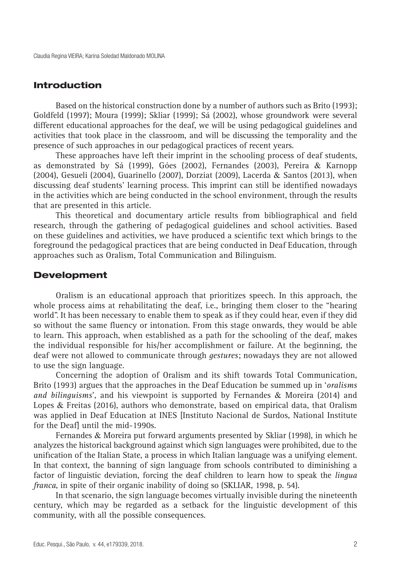#### Introduction

Based on the historical construction done by a number of authors such as Brito (1993); Goldfeld (1997); Moura (1999); Skliar (1999); Sá (2002), whose groundwork were several different educational approaches for the deaf, we will be using pedagogical guidelines and activities that took place in the classroom, and will be discussing the temporality and the presence of such approaches in our pedagogical practices of recent years.

These approaches have left their imprint in the schooling process of deaf students, as demonstrated by Sá (1999), Góes (2002), Fernandes (2003), Pereira & Karnopp (2004), Gesueli (2004), Guarinello (2007), Dorziat (2009), Lacerda & Santos (2013), when discussing deaf students' learning process. This imprint can still be identified nowadays in the activities which are being conducted in the school environment, through the results that are presented in this article.

This theoretical and documentary article results from bibliographical and field research, through the gathering of pedagogical guidelines and school activities. Based on these guidelines and activities, we have produced a scientific text which brings to the foreground the pedagogical practices that are being conducted in Deaf Education, through approaches such as Oralism, Total Communication and Bilinguism.

#### Development

Oralism is an educational approach that prioritizes speech. In this approach, the whole process aims at rehabilitating the deaf, i.e., bringing them closer to the "hearing world". It has been necessary to enable them to speak as if they could hear, even if they did so without the same fluency or intonation. From this stage onwards, they would be able to learn. This approach, when established as a path for the schooling of the deaf, makes the individual responsible for his/her accomplishment or failure. At the beginning, the deaf were not allowed to communicate through *gestures*; nowadays they are not allowed to use the sign language.

Concerning the adoption of Oralism and its shift towards Total Communication, Brito (1993) argues that the approaches in the Deaf Education be summed up in '*oralisms and bilinguisms*', and his viewpoint is supported by Fernandes & Moreira (2014) and Lopes & Freitas (2016), authors who demonstrate, based on empirical data, that Oralism was applied in Deaf Education at INES [Instituto Nacional de Surdos, National Institute for the Deaf] until the mid-1990s.

Fernandes & Moreira put forward arguments presented by Skliar (1998), in which he analyzes the historical background against which sign languages were prohibited, due to the unification of the Italian State, a process in which Italian language was a unifying element. In that context, the banning of sign language from schools contributed to diminishing a factor of linguistic deviation, forcing the deaf children to learn how to speak the *lingua franca*, in spite of their organic inability of doing so (SKLIAR, 1998, p. 54).

In that scenario, the sign language becomes virtually invisible during the nineteenth century, which may be regarded as a setback for the linguistic development of this community, with all the possible consequences.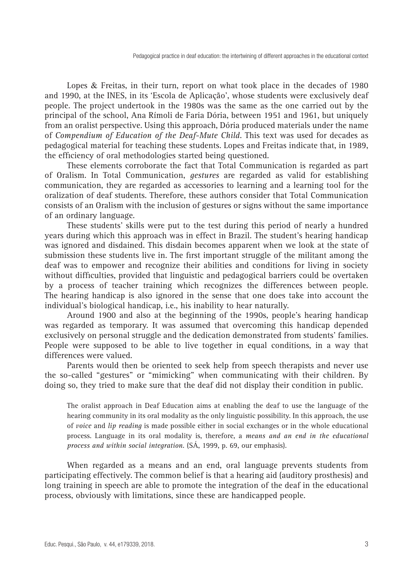Lopes & Freitas, in their turn, report on what took place in the decades of 1980 and 1990, at the INES, in its 'Escola de Aplicação', whose students were exclusively deaf people. The project undertook in the 1980s was the same as the one carried out by the principal of the school, Ana Rímoli de Faria Dória, between 1951 and 1961, but uniquely from an oralist perspective. Using this approach, Dória produced materials under the name of *Compendium of Education of the Deaf-Mute Child.* This text was used for decades as pedagogical material for teaching these students. Lopes and Freitas indicate that, in 1989, the efficiency of oral methodologies started being questioned.

These elements corroborate the fact that Total Communication is regarded as part of Oralism. In Total Communication, *gestures* are regarded as valid for establishing communication, they are regarded as accessories to learning and a learning tool for the oralization of deaf students. Therefore, these authors consider that Total Communication consists of an Oralism with the inclusion of gestures or signs without the same importance of an ordinary language.

These students' skills were put to the test during this period of nearly a hundred years during which this approach was in effect in Brazil. The student's hearing handicap was ignored and disdained. This disdain becomes apparent when we look at the state of submission these students live in. The first important struggle of the militant among the deaf was to empower and recognize their abilities and conditions for living in society without difficulties, provided that linguistic and pedagogical barriers could be overtaken by a process of teacher training which recognizes the differences between people. The hearing handicap is also ignored in the sense that one does take into account the individual's biological handicap, i.e., his inability to hear naturally.

Around 1900 and also at the beginning of the 1990s, people's hearing handicap was regarded as temporary. It was assumed that overcoming this handicap depended exclusively on personal struggle and the dedication demonstrated from students' families. People were supposed to be able to live together in equal conditions, in a way that differences were valued.

Parents would then be oriented to seek help from speech therapists and never use the so-called "gestures" or "mimicking" when communicating with their children. By doing so, they tried to make sure that the deaf did not display their condition in public.

The oralist approach in Deaf Education aims at enabling the deaf to use the language of the hearing community in its oral modality as the only linguistic possibility. In this approach, the use of *voice* and *lip reading* is made possible either in social exchanges or in the whole educational process. Language in its oral modality is, therefore, a *means and an end in the educational process and within social integration.* (SÁ, 1999, p. 69, our emphasis).

When regarded as a means and an end, oral language prevents students from participating effectively. The common belief is that a hearing aid (auditory prosthesis) and long training in speech are able to promote the integration of the deaf in the educational process, obviously with limitations, since these are handicapped people.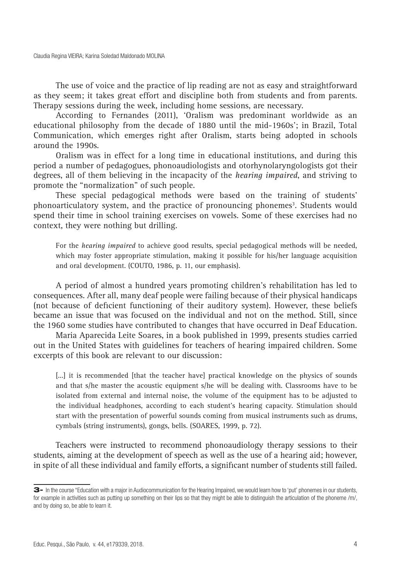The use of voice and the practice of lip reading are not as easy and straightforward as they seem; it takes great effort and discipline both from students and from parents. Therapy sessions during the week, including home sessions, are necessary.

According to Fernandes (2011), 'Oralism was predominant worldwide as an educational philosophy from the decade of 1880 until the mid-1960s'; in Brazil, Total Communication, which emerges right after Oralism, starts being adopted in schools around the 1990s.

Oralism was in effect for a long time in educational institutions, and during this period a number of pedagogues, phonoaudiologists and otorhynolaryngologists got their degrees, all of them believing in the incapacity of the *hearing impaired*, and striving to promote the "normalization" of such people.

These special pedagogical methods were based on the training of students' phonoarticulatory system, and the practice of pronouncing phonemes<sup>3</sup>. Students would spend their time in school training exercises on vowels. Some of these exercises had no context, they were nothing but drilling.

For the *hearing impaired* to achieve good results, special pedagogical methods will be needed, which may foster appropriate stimulation, making it possible for his/her language acquisition and oral development. (COUTO, 1986, p. 11, our emphasis).

A period of almost a hundred years promoting children's rehabilitation has led to consequences. After all, many deaf people were failing because of their physical handicaps (not because of deficient functioning of their auditory system). However, these beliefs became an issue that was focused on the individual and not on the method. Still, since the 1960 some studies have contributed to changes that have occurred in Deaf Education.

Maria Aparecida Leite Soares, in a book published in 1999, presents studies carried out in the United States with guidelines for teachers of hearing impaired children. Some excerpts of this book are relevant to our discussion:

[...] it is recommended [that the teacher have] practical knowledge on the physics of sounds and that s/he master the acoustic equipment s/he will be dealing with. Classrooms have to be isolated from external and internal noise, the volume of the equipment has to be adjusted to the individual headphones, according to each student's hearing capacity. Stimulation should start with the presentation of powerful sounds coming from musical instruments such as drums, cymbals (string instruments), gongs, bells. (SOARES, 1999, p. 72).

Teachers were instructed to recommend phonoaudiology therapy sessions to their students, aiming at the development of speech as well as the use of a hearing aid; however, in spite of all these individual and family efforts, a significant number of students still failed.

<sup>3-</sup> In the course "Education with a major in Audiocommunication for the Hearing Impaired, we would learn how to 'put' phonemes in our students, for example in activities such as putting up something on their lips so that they might be able to distinguish the articulation of the phoneme /m/, and by doing so, be able to learn it.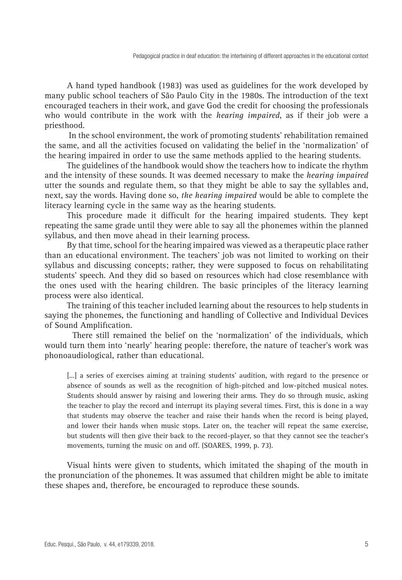A hand typed handbook (1983) was used as guidelines for the work developed by many public school teachers of São Paulo City in the 1980s. The introduction of the text encouraged teachers in their work, and gave God the credit for choosing the professionals who would contribute in the work with the *hearing impaired*, as if their job were a priesthood.

 In the school environment, the work of promoting students' rehabilitation remained the same, and all the activities focused on validating the belief in the 'normalization' of the hearing impaired in order to use the same methods applied to the hearing students.

The guidelines of the handbook would show the teachers how to indicate the rhythm and the intensity of these sounds. It was deemed necessary to make the *hearing impaired*  utter the sounds and regulate them, so that they might be able to say the syllables and, next, say the words. Having done so, *the hearing impaired* would be able to complete the literacy learning cycle in the same way as the hearing students.

This procedure made it difficult for the hearing impaired students. They kept repeating the same grade until they were able to say all the phonemes within the planned syllabus, and then move ahead in their learning process.

By that time, school for the hearing impaired was viewed as a therapeutic place rather than an educational environment. The teachers' job was not limited to working on their syllabus and discussing concepts; rather, they were supposed to focus on rehabilitating students' speech. And they did so based on resources which had close resemblance with the ones used with the hearing children. The basic principles of the literacy learning process were also identical.

The training of this teacher included learning about the resources to help students in saying the phonemes, the functioning and handling of Collective and Individual Devices of Sound Amplification.

There still remained the belief on the 'normalization' of the individuals, which would turn them into 'nearly' hearing people: therefore, the nature of teacher's work was phonoaudiological, rather than educational.

[...] a series of exercises aiming at training students' audition, with regard to the presence or absence of sounds as well as the recognition of high-pitched and low-pitched musical notes. Students should answer by raising and lowering their arms. They do so through music, asking the teacher to play the record and interrupt its playing several times. First, this is done in a way that students may observe the teacher and raise their hands when the record is being played, and lower their hands when music stops. Later on, the teacher will repeat the same exercise, but students will then give their back to the record-player, so that they cannot see the teacher's movements, turning the music on and off. (SOARES, 1999, p. 73).

Visual hints were given to students, which imitated the shaping of the mouth in the pronunciation of the phonemes. It was assumed that children might be able to imitate these shapes and, therefore, be encouraged to reproduce these sounds.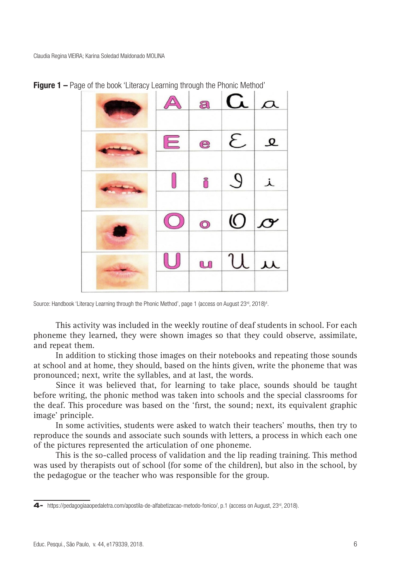|   |   | $\Delta$ a $\alpha$ $\alpha$ |               |
|---|---|------------------------------|---------------|
| E |   | $e$ $\mathcal{E}$            | $\mathcal{Q}$ |
|   | Õ | $\mathcal{Q}$                | 丄             |
|   |   | $\circ$ 0 $\sigma$           |               |
|   |   | $u \mathcal{U} \mid \mu$     |               |

**Figure 1 –** Page of the book 'Literacy Learning through the Phonic Method'

This activity was included in the weekly routine of deaf students in school. For each phoneme they learned, they were shown images so that they could observe, assimilate, and repeat them.

In addition to sticking those images on their notebooks and repeating those sounds at school and at home, they should, based on the hints given, write the phoneme that was pronounced; next, write the syllables, and at last, the words.

Since it was believed that, for learning to take place, sounds should be taught before writing, the phonic method was taken into schools and the special classrooms for the deaf. This procedure was based on the 'first, the sound; next, its equivalent graphic image' principle.

In some activities, students were asked to watch their teachers' mouths, then try to reproduce the sounds and associate such sounds with letters, a process in which each one of the pictures represented the articulation of one phoneme.

This is the so-called process of validation and the lip reading training. This method was used by therapists out of school (for some of the children), but also in the school, by the pedagogue or the teacher who was responsible for the group.

Source: Handbook 'Literacy Learning through the Phonic Method', page 1 (access on August 23<sup>rd</sup>, 2018)<sup>4</sup>.

<sup>4-</sup> https://pedagogiaaopedaletra.com/apostila-de-alfabetizacao-metodo-fonico/, p.1 (access on August, 23<sup>rd</sup>, 2018).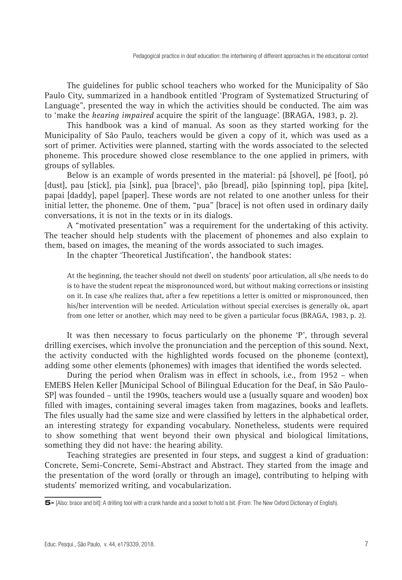The guidelines for public school teachers who worked for the Municipality of São Paulo City, summarized in a handbook entitled 'Program of Systematized Structuring of Language", presented the way in which the activities should be conducted. The aim was to 'make the *hearing impaired* acquire the spirit of the language'. (BRAGA, 1983, p. 2).

This handbook was a kind of manual. As soon as they started working for the Municipality of São Paulo, teachers would be given a copy of it, which was used as a sort of primer. Activities were planned, starting with the words associated to the selected phoneme. This procedure showed close resemblance to the one applied in primers, with groups of syllables.

Below is an example of words presented in the material: pá [shovel], pé [foot], pó [dust], pau [stick], pia [sink], pua [brace]<sup>5</sup>, pão [bread], pião [spinning top], pipa [kite], papai [daddy], papel [paper]. These words are not related to one another unless for their initial letter, the phoneme. One of them, "pua" [brace] is not often used in ordinary daily conversations, it is not in the texts or in its dialogs.

A "motivated presentation" was a requirement for the undertaking of this activity. The teacher should help students with the placement of phonemes and also explain to them, based on images, the meaning of the words associated to such images.

In the chapter 'Theoretical Justification', the handbook states:

At the beginning, the teacher should not dwell on students' poor articulation, all s/he needs to do is to have the student repeat the mispronounced word, but without making corrections or insisting on it. In case s/he realizes that, after a few repetitions a letter is omitted or mispronounced, then his/her intervention will be needed. Articulation without special exercises is generally ok, apart from one letter or another, which may need to be given a particular focus (BRAGA, 1983, p. 2).

It was then necessary to focus particularly on the phoneme 'P', through several drilling exercises, which involve the pronunciation and the perception of this sound. Next, the activity conducted with the highlighted words focused on the phoneme (context), adding some other elements (phonemes) with images that identified the words selected.

During the period when Oralism was in effect in schools, i.e., from 1952 – when EMEBS Helen Keller [Municipal School of Bilingual Education for the Deaf, in São Paulo-SP] was founded – until the 1990s, teachers would use a (usually square and wooden) box filled with images, containing several images taken from magazines, books and leaflets. The files usually had the same size and were classified by letters in the alphabetical order, an interesting strategy for expanding vocabulary. Nonetheless, students were required to show something that went beyond their own physical and biological limitations, something they did not have: the hearing ability.

Teaching strategies are presented in four steps, and suggest a kind of graduation: Concrete, Semi-Concrete, Semi-Abstract and Abstract. They started from the image and the presentation of the word (orally or through an image), contributing to helping with students' memorized writing, and vocabularization.

<sup>5-</sup> [Also: brace and bit]: A drilling tool with a crank handle and a socket to hold a bit. (From: The New Oxford Dictionary of English).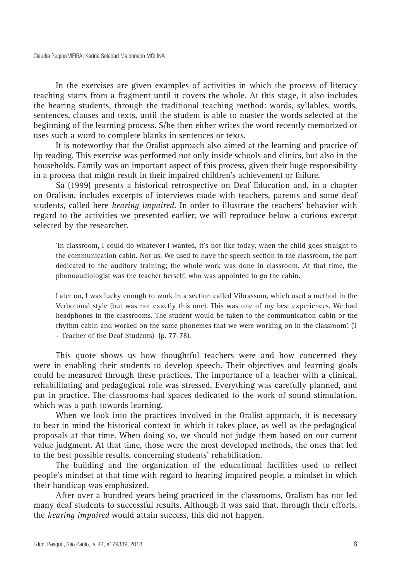In the exercises are given examples of activities in which the process of literacy teaching starts from a fragment until it covers the whole. At this stage, it also includes the hearing students, through the traditional teaching method: words, syllables, words, sentences, clauses and texts, until the student is able to master the words selected at the beginning of the learning process. S/he then either writes the word recently memorized or uses such a word to complete blanks in sentences or texts.

It is noteworthy that the Oralist approach also aimed at the learning and practice of lip reading. This exercise was performed not only inside schools and clinics, but also in the households. Family was an important aspect of this process, given their huge responsibility in a process that might result in their impaired children's achievement or failure.

Sá (1999) presents a historical retrospective on Deaf Education and, in a chapter on Oralism, includes excerpts of interviews made with teachers, parents and some deaf students, called here *hearing impaired.* In order to illustrate the teachers' behavior with regard to the activities we presented earlier, we will reproduce below a curious excerpt selected by the researcher.

'In classroom, I could do whatever I wanted, it's not like today, when the child goes straight to the communication cabin. Not us. We used to have the speech section in the classroom, the part dedicated to the auditory training; the whole work was done in classroom. At that time, the phonoaudiologist was the teacher herself, who was appointed to go the cabin.

Later on, I was lucky enough to work in a section called Vibrassom, which used a method in the Verbotonal style (but was not exactly this one). This was one of my best experiences. We had headphones in the classrooms. The student would be taken to the communication cabin or the rhythm cabin and worked on the same phonemes that we were working on in the classroom'. (T – Teacher of the Deaf Students) (p. 77-78).

This quote shows us how thoughtful teachers were and how concerned they were in enabling their students to develop speech. Their objectives and learning goals could be measured through these practices. The importance of a teacher with a clinical, rehabilitating and pedagogical role was stressed. Everything was carefully planned, and put in practice. The classrooms had spaces dedicated to the work of sound stimulation, which was a path towards learning.

When we look into the practices involved in the Oralist approach, it is necessary to bear in mind the historical context in which it takes place, as well as the pedagogical proposals at that time. When doing so, we should not judge them based on our current value judgment. At that time, those were the most developed methods, the ones that led to the best possible results, concerning students' rehabilitation.

The building and the organization of the educational facilities used to reflect people's mindset at that time with regard to hearing impaired people, a mindset in which their handicap was emphasized.

After over a hundred years being practiced in the classrooms, Oralism has not led many deaf students to successful results. Although it was said that, through their efforts, the *hearing impaired* would attain success, this did not happen.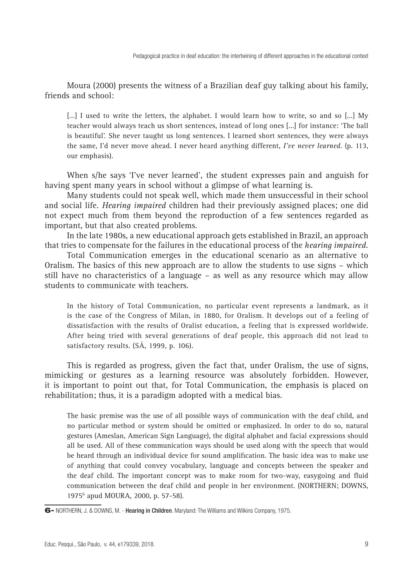Moura (2000) presents the witness of a Brazilian deaf guy talking about his family, friends and school:

[...] I used to write the letters, the alphabet. I would learn how to write, so and so [...] My teacher would always teach us short sentences, instead of long ones [...] for instance: 'The ball is beautiful'. She never taught us long sentences. I learned short sentences, they were always the same, I'd never move ahead. I never heard anything different, *I've never learned*. (p. 113, our emphasis).

When s/he says 'I've never learned', the student expresses pain and anguish for having spent many years in school without a glimpse of what learning is.

Many students could not speak well, which made them unsuccessful in their school and social life. *Hearing impaired* children had their previously assigned places; one did not expect much from them beyond the reproduction of a few sentences regarded as important, but that also created problems.

In the late 1980s, a new educational approach gets established in Brazil, an approach that tries to compensate for the failures in the educational process of the *hearing impaired.*

Total Communication emerges in the educational scenario as an alternative to Oralism. The basics of this new approach are to allow the students to use signs – which still have no characteristics of a language – as well as any resource which may allow students to communicate with teachers.

In the history of Total Communication, no particular event represents a landmark, as it is the case of the Congress of Milan, in 1880, for Oralism. It develops out of a feeling of dissatisfaction with the results of Oralist education, a feeling that is expressed worldwide. After being tried with several generations of deaf people, this approach did not lead to satisfactory results. (SÁ, 1999, p. 106).

This is regarded as progress, given the fact that, under Oralism, the use of signs, mimicking or gestures as a learning resource was absolutely forbidden. However, it is important to point out that, for Total Communication, the emphasis is placed on rehabilitation; thus, it is a paradigm adopted with a medical bias.

The basic premise was the use of all possible ways of communication with the deaf child, and no particular method or system should be omitted or emphasized. In order to do so, natural gestures (Ameslan, American Sign Language), the digital alphabet and facial expressions should all be used. All of these communication ways should be used along with the speech that would be heard through an individual device for sound amplification. The basic idea was to make use of anything that could convey vocabulary, language and concepts between the speaker and the deaf child. The important concept was to make room for two-way, easygoing and fluid communication between the deaf child and people in her environment. (NORTHERN; DOWNS, 19756 apud MOURA, 2000, p. 57-58).

<sup>6-</sup> NORTHERN, J. & DOWNS, M. - Hearing in Children. Maryland: The Williams and Wilkins Company, 1975.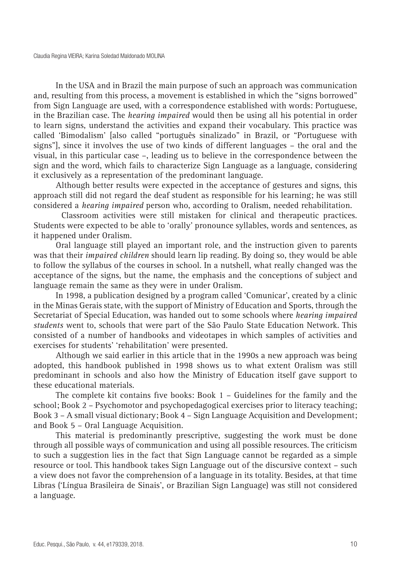In the USA and in Brazil the main purpose of such an approach was communication and, resulting from this process, a movement is established in which the "signs borrowed" from Sign Language are used, with a correspondence established with words: Portuguese, in the Brazilian case. The *hearing impaired* would then be using all his potential in order to learn signs, understand the activities and expand their vocabulary. This practice was called 'Bimodalism' [also called "português sinalizado" in Brazil, or "Portuguese with signs"], since it involves the use of two kinds of different languages – the oral and the visual, in this particular case –, leading us to believe in the correspondence between the sign and the word, which fails to characterize Sign Language as a language, considering it exclusively as a representation of the predominant language.

Although better results were expected in the acceptance of gestures and signs, this approach still did not regard the deaf student as responsible for his learning; he was still considered a *hearing impaired* person who, according to Oralism, needed rehabilitation.

Classroom activities were still mistaken for clinical and therapeutic practices. Students were expected to be able to 'orally' pronounce syllables, words and sentences, as it happened under Oralism.

Oral language still played an important role, and the instruction given to parents was that their *impaired children* should learn lip reading. By doing so, they would be able to follow the syllabus of the courses in school. In a nutshell, what really changed was the acceptance of the signs, but the name, the emphasis and the conceptions of subject and language remain the same as they were in under Oralism.

In 1998, a publication designed by a program called 'Comunicar', created by a clinic in the Minas Gerais state, with the support of Ministry of Education and Sports, through the Secretariat of Special Education, was handed out to some schools where *hearing impaired students* went to, schools that were part of the São Paulo State Education Network. This consisted of a number of handbooks and videotapes in which samples of activities and exercises for students' 'rehabilitation' were presented.

Although we said earlier in this article that in the 1990s a new approach was being adopted, this handbook published in 1998 shows us to what extent Oralism was still predominant in schools and also how the Ministry of Education itself gave support to these educational materials.

The complete kit contains five books: Book 1 – Guidelines for the family and the school; Book 2 – Psychomotor and psychopedagogical exercises prior to literacy teaching; Book 3 – A small visual dictionary; Book 4 – Sign Language Acquisition and Development; and Book 5 – Oral Language Acquisition.

This material is predominantly prescriptive, suggesting the work must be done through all possible ways of communication and using all possible resources. The criticism to such a suggestion lies in the fact that Sign Language cannot be regarded as a simple resource or tool. This handbook takes Sign Language out of the discursive context – such a view does not favor the comprehension of a language in its totality. Besides, at that time Libras ('Língua Brasileira de Sinais', or Brazilian Sign Language) was still not considered a language.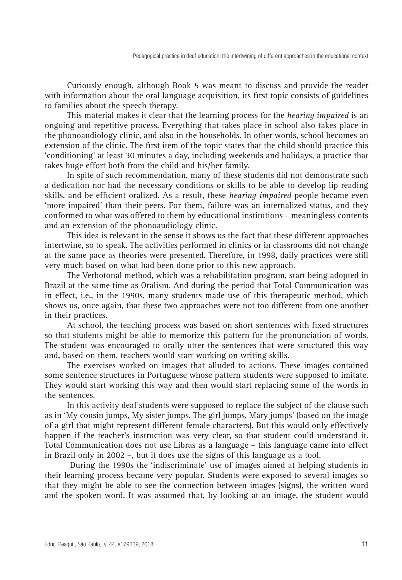Curiously enough, although Book 5 was meant to discuss and provide the reader with information about the oral language acquisition, its first topic consists of guidelines to families about the speech therapy.

This material makes it clear that the learning process for the *hearing impaired* is an ongoing and repetitive process. Everything that takes place in school also takes place in the phonoaudiology clinic, and also in the households. In other words, school becomes an extension of the clinic. The first item of the topic states that the child should practice this 'conditioning' at least 30 minutes a day, including weekends and holidays, a practice that takes huge effort both from the child and his/her family.

In spite of such recommendation, many of these students did not demonstrate such a dedication nor had the necessary conditions or skills to be able to develop lip reading skills, and be efficient oralized. As a result, these *hearing impaired* people became even 'more impaired' than their peers. For them, failure was an internalized status, and they conformed to what was offered to them by educational institutions – meaningless contents and an extension of the phonoaudiology clinic.

This idea is relevant in the sense it shows us the fact that these different approaches intertwine, so to speak. The activities performed in clinics or in classrooms did not change at the same pace as theories were presented. Therefore, in 1998, daily practices were still very much based on what had been done prior to this new approach.

The Verbotonal method, which was a rehabilitation program, start being adopted in Brazil at the same time as Oralism. And during the period that Total Communication was in effect, i.e., in the 1990s, many students made use of this therapeutic method, which shows us, once again, that these two approaches were not too different from one another in their practices.

At school, the teaching process was based on short sentences with fixed structures so that students might be able to memorize this pattern for the pronunciation of words. The student was encouraged to orally utter the sentences that were structured this way and, based on them, teachers would start working on writing skills.

The exercises worked on images that alluded to actions. These images contained some sentence structures in Portuguese whose pattern students were supposed to imitate. They would start working this way and then would start replacing some of the words in the sentences.

In this activity deaf students were supposed to replace the subject of the clause such as in 'My cousin jumps, My sister jumps, The girl jumps, Mary jumps' (based on the image of a girl that might represent different female characters). But this would only effectively happen if the teacher's instruction was very clear, so that student could understand it. Total Communication does not use Libras as a language – this language came into effect in Brazil only in 2002 –, but it does use the signs of this language as a tool.

 During the 1990s the 'indiscriminate' use of images aimed at helping students in their learning process became very popular. Students were exposed to several images so that they might be able to see the connection between images (signs), the written word and the spoken word. It was assumed that, by looking at an image, the student would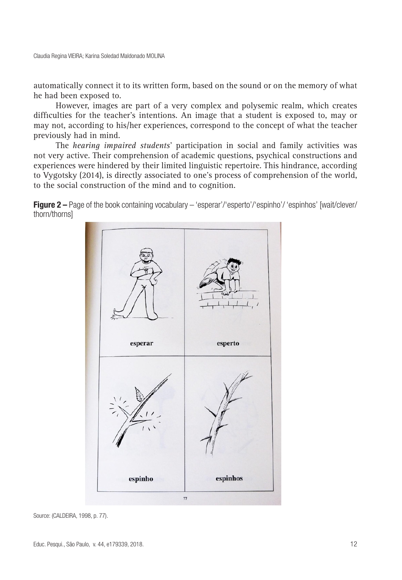automatically connect it to its written form, based on the sound or on the memory of what he had been exposed to.

However, images are part of a very complex and polysemic realm, which creates difficulties for the teacher's intentions. An image that a student is exposed to, may or may not, according to his/her experiences, correspond to the concept of what the teacher previously had in mind.

The *hearing impaired students*' participation in social and family activities was not very active. Their comprehension of academic questions, psychical constructions and experiences were hindered by their limited linguistic repertoire. This hindrance, according to Vygotsky (2014), is directly associated to one's process of comprehension of the world, to the social construction of the mind and to cognition.

**Figure 2** – Page of the book containing vocabulary – 'esperar'/'esperto'/'espinho'/ 'espinhos' [wait/clever/ thorn/thorns]



Source: (CALDEIRA, 1998, p. 77).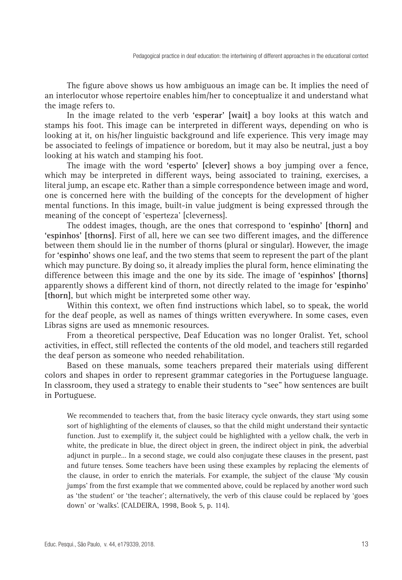The figure above shows us how ambiguous an image can be. It implies the need of an interlocutor whose repertoire enables him/her to conceptualize it and understand what the image refers to.

In the image related to the verb **'esperar' [wait]** a boy looks at this watch and stamps his foot. This image can be interpreted in different ways, depending on who is looking at it, on his/her linguistic background and life experience. This very image may be associated to feelings of impatience or boredom, but it may also be neutral, just a boy looking at his watch and stamping his foot.

The image with the word **'esperto' [clever]** shows a boy jumping over a fence, which may be interpreted in different ways, being associated to training, exercises, a literal jump, an escape etc. Rather than a simple correspondence between image and word, one is concerned here with the building of the concepts for the development of higher mental functions. In this image, built-in value judgment is being expressed through the meaning of the concept of 'esperteza' [cleverness].

The oddest images, though, are the ones that correspond to **'espinho' [thorn]** and **'espinhos' [thorns]**. First of all, here we can see two different images, and the difference between them should lie in the number of thorns (plural or singular). However, the image for **'espinho'** shows one leaf, and the two stems that seem to represent the part of the plant which may puncture. By doing so, it already implies the plural form, hence eliminating the difference between this image and the one by its side. The image of **'espinhos' [thorns]** apparently shows a different kind of thorn, not directly related to the image for **'espinho' [thorn]**, but which might be interpreted some other way.

Within this context, we often find instructions which label, so to speak, the world for the deaf people, as well as names of things written everywhere. In some cases, even Libras signs are used as mnemonic resources.

From a theoretical perspective, Deaf Education was no longer Oralist. Yet, school activities, in effect, still reflected the contents of the old model, and teachers still regarded the deaf person as someone who needed rehabilitation.

Based on these manuals, some teachers prepared their materials using different colors and shapes in order to represent grammar categories in the Portuguese language. In classroom, they used a strategy to enable their students to "see" how sentences are built in Portuguese.

We recommended to teachers that, from the basic literacy cycle onwards, they start using some sort of highlighting of the elements of clauses, so that the child might understand their syntactic function. Just to exemplify it, the subject could be highlighted with a yellow chalk, the verb in white, the predicate in blue, the direct object in green, the indirect object in pink, the adverbial adjunct in purple… In a second stage, we could also conjugate these clauses in the present, past and future tenses. Some teachers have been using these examples by replacing the elements of the clause, in order to enrich the materials. For example, the subject of the clause 'My cousin jumps' from the first example that we commented above, could be replaced by another word such as 'the student' or 'the teacher'; alternatively, the verb of this clause could be replaced by 'goes down' or 'walks'. (CALDEIRA, 1998, Book 5, p. 114).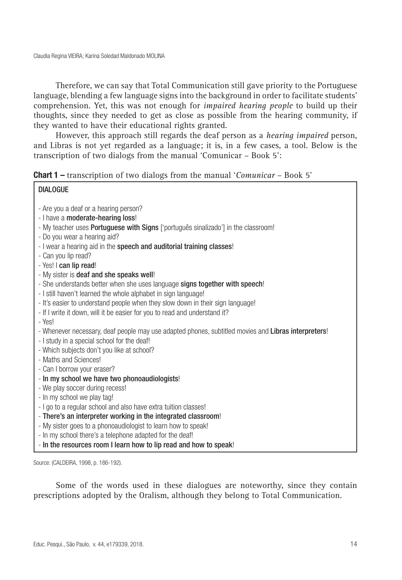Therefore, we can say that Total Communication still gave priority to the Portuguese language, blending a few language signs into the background in order to facilitate students' comprehension. Yet, this was not enough for *impaired hearing people* to build up their thoughts, since they needed to get as close as possible from the hearing community, if they wanted to have their educational rights granted.

However, this approach still regards the deaf person as a *hearing impaired* person, and Libras is not yet regarded as a language; it is, in a few cases, a tool. Below is the transcription of two dialogs from the manual 'Comunicar – Book 5':

| <b>Chart 1 -</b> transcription of two dialogs from the manual 'Comunicar - Book 5' |  |
|------------------------------------------------------------------------------------|--|
|------------------------------------------------------------------------------------|--|

#### **DIALOGUE**

- Are you a deaf or a hearing person?
- I have a moderate-hearing loss!
- My teacher uses **Portuguese with Signs** ['português sinalizado'] in the classroom!
- Do you wear a hearing aid?
- I wear a hearing aid in the speech and auditorial training classes!
- Can you lip read?
- Yes! I can lip read!
- My sister is deaf and she speaks well!
- She understands better when she uses language signs together with speech!
- I still haven't learned the whole alphabet in sign language!
- It's easier to understand people when they slow down in their sign language!
- If I write it down, will it be easier for you to read and understand it?
- Yes!
- Whenever necessary, deaf people may use adapted phones, subtitled movies and Libras interpreters!
- I study in a special school for the deaf!
- Which subjects don't you like at school?
- Maths and Sciences!
- Can I borrow your eraser?
- In my school we have two phonoaudiologists!
- We play soccer during recess!
- In my school we play tag!
- I go to a regular school and also have extra tuition classes!
- There's an interpreter working in the integrated classroom!
- My sister goes to a phonoaudiologist to learn how to speak!
- In my school there's a telephone adapted for the deaf!
- In the resources room I learn how to lip read and how to speak!

Source: (CALDEIRA, 1998, p. 186-192).

Some of the words used in these dialogues are noteworthy, since they contain prescriptions adopted by the Oralism, although they belong to Total Communication.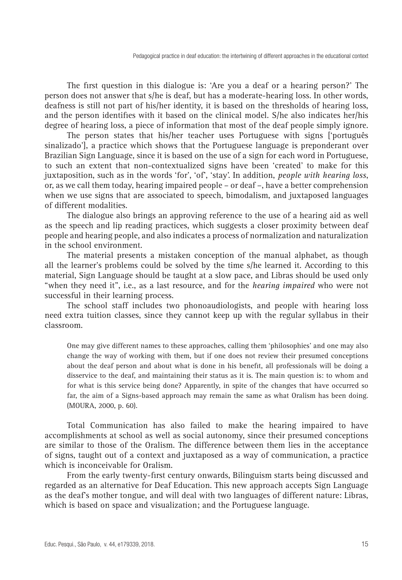The first question in this dialogue is: 'Are you a deaf or a hearing person?' The person does not answer that s/he is deaf, but has a moderate-hearing loss. In other words, deafness is still not part of his/her identity, it is based on the thresholds of hearing loss, and the person identifies with it based on the clinical model. S/he also indicates her/his degree of hearing loss, a piece of information that most of the deaf people simply ignore.

The person states that his/her teacher uses Portuguese with signs ['português sinalizado'], a practice which shows that the Portuguese language is preponderant over Brazilian Sign Language, since it is based on the use of a sign for each word in Portuguese, to such an extent that non-contextualized signs have been 'created' to make for this juxtaposition, such as in the words 'for', 'of', 'stay'. In addition, *people with hearing loss*, or, as we call them today, hearing impaired people – or deaf –, have a better comprehension when we use signs that are associated to speech, bimodalism, and juxtaposed languages of different modalities.

The dialogue also brings an approving reference to the use of a hearing aid as well as the speech and lip reading practices, which suggests a closer proximity between deaf people and hearing people, and also indicates a process of normalization and naturalization in the school environment.

The material presents a mistaken conception of the manual alphabet, as though all the learner's problems could be solved by the time s/he learned it. According to this material, Sign Language should be taught at a slow pace, and Libras should be used only "when they need it", i.e., as a last resource, and for the *hearing impaired* who were not successful in their learning process.

The school staff includes two phonoaudiologists, and people with hearing loss need extra tuition classes, since they cannot keep up with the regular syllabus in their classroom.

One may give different names to these approaches, calling them 'philosophies' and one may also change the way of working with them, but if one does not review their presumed conceptions about the deaf person and about what is done in his benefit, all professionals will be doing a disservice to the deaf, and maintaining their status as it is. The main question is: to whom and for what is this service being done? Apparently, in spite of the changes that have occurred so far, the aim of a Signs-based approach may remain the same as what Oralism has been doing. (MOURA, 2000, p. 60).

Total Communication has also failed to make the hearing impaired to have accomplishments at school as well as social autonomy, since their presumed conceptions are similar to those of the Oralism. The difference between them lies in the acceptance of signs, taught out of a context and juxtaposed as a way of communication, a practice which is inconceivable for Oralism.

From the early twenty-first century onwards, Bilinguism starts being discussed and regarded as an alternative for Deaf Education. This new approach accepts Sign Language as the deaf's mother tongue, and will deal with two languages of different nature: Libras, which is based on space and visualization; and the Portuguese language.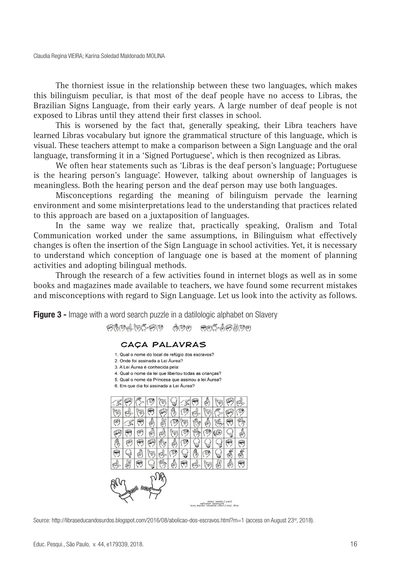The thorniest issue in the relationship between these two languages, which makes this bilinguism peculiar, is that most of the deaf people have no access to Libras, the Brazilian Signs Language, from their early years. A large number of deaf people is not exposed to Libras until they attend their first classes in school.

This is worsened by the fact that, generally speaking, their Libra teachers have learned Libras vocabulary but ignore the grammatical structure of this language, which is visual. These teachers attempt to make a comparison between a Sign Language and the oral language, transforming it in a 'Signed Portuguese', which is then recognized as Libras.

We often hear statements such as 'Libras is the deaf person's language; Portuguese is the hearing person's language'. However, talking about ownership of languages is meaningless. Both the hearing person and the deaf person may use both languages.

Misconceptions regarding the meaning of bilinguism pervade the learning environment and some misinterpretations lead to the understanding that practices related to this approach are based on a juxtaposition of languages.

In the same way we realize that, practically speaking, Oralism and Total Communication worked under the same assumptions, in Bilinguism what effectively changes is often the insertion of the Sign Language in school activities. Yet, it is necessary to understand which conception of language one is based at the moment of planning activities and adopting bilingual methods.

Through the research of a few activities found in internet blogs as well as in some books and magazines made available to teachers, we have found some recurrent mistakes and misconceptions with regard to Sign Language. Let us look into the activity as follows.

**Figure 3 -** Image with a word search puzzle in a datilologic alphabet on Slavery 妈妈的山田华妈的 西西 **HELLAHANEE** 

#### CAÇA PALAVRAS

- 1. Qual o nome do local de refúgio dos escravos?
- 2. Onde foi assinada a Lei Áurea?
- 3. A Lei Áurea é conhecida pela:
- 4. Qual o nome da lei que libertou todas as criancas?
- 5. Qual o nome da Princesa que assinou a lei Áurea?
- 6. Em que dia foi assinada a Lei Áurea?



Source: http://libraseducandosurdos.blogspot.com/2016/08/abolicao-dos-escravos.html?m=1 (access on August 23<sup>rd</sup>, 2018).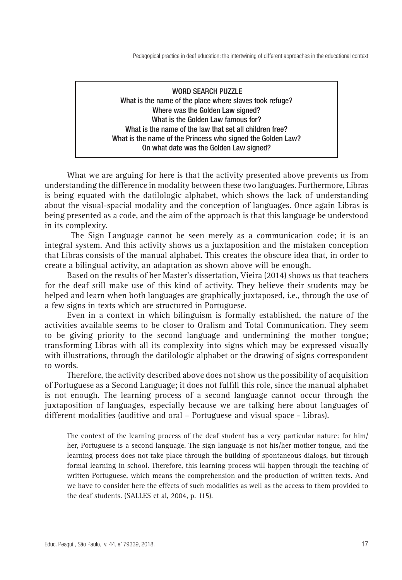### WORD SEARCH PUZZLE What is the name of the place where slaves took refuge? Where was the Golden Law signed? What is the Golden Law famous for? What is the name of the law that set all children free? What is the name of the Princess who signed the Golden Law? On what date was the Golden Law signed?

What we are arguing for here is that the activity presented above prevents us from understanding the difference in modality between these two languages. Furthermore, Libras is being equated with the datilologic alphabet, which shows the lack of understanding about the visual-spacial modality and the conception of languages. Once again Libras is being presented as a code, and the aim of the approach is that this language be understood in its complexity.

 The Sign Language cannot be seen merely as a communication code; it is an integral system. And this activity shows us a juxtaposition and the mistaken conception that Libras consists of the manual alphabet. This creates the obscure idea that, in order to create a bilingual activity, an adaptation as shown above will be enough.

Based on the results of her Master's dissertation, Vieira (2014) shows us that teachers for the deaf still make use of this kind of activity. They believe their students may be helped and learn when both languages are graphically juxtaposed, i.e., through the use of a few signs in texts which are structured in Portuguese.

Even in a context in which bilinguism is formally established, the nature of the activities available seems to be closer to Oralism and Total Communication. They seem to be giving priority to the second language and undermining the mother tongue; transforming Libras with all its complexity into signs which may be expressed visually with illustrations, through the datilologic alphabet or the drawing of signs correspondent to words.

Therefore, the activity described above does not show us the possibility of acquisition of Portuguese as a Second Language; it does not fulfill this role, since the manual alphabet is not enough. The learning process of a second language cannot occur through the juxtaposition of languages, especially because we are talking here about languages of different modalities (auditive and oral – Portuguese and visual space - Libras).

The context of the learning process of the deaf student has a very particular nature: for him/ her, Portuguese is a second language. The sign language is not his/her mother tongue, and the learning process does not take place through the building of spontaneous dialogs, but through formal learning in school. Therefore, this learning process will happen through the teaching of written Portuguese, which means the comprehension and the production of written texts. And we have to consider here the effects of such modalities as well as the access to them provided to the deaf students. (SALLES et al, 2004, p. 115).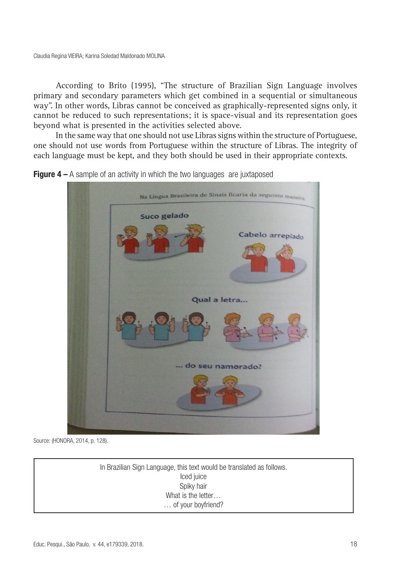According to Brito (1995), "The structure of Brazilian Sign Language involves primary and secondary parameters which get combined in a sequential or simultaneous way". In other words, Libras cannot be conceived as graphically-represented signs only, it cannot be reduced to such representations; it is space-visual and its representation goes beyond what is presented in the activities selected above.

In the same way that one should not use Libras signs within the structure of Portuguese, one should not use words from Portuguese within the structure of Libras. The integrity of each language must be kept, and they both should be used in their appropriate contexts.



**Figure 4** – A sample of an activity in which the two languages are juxtaposed

Source: (HONORA, 2014, p. 128).

In Brazilian Sign Language, this text would be translated as follows. Iced juice Spiky hair What is the letter … of your boyfriend?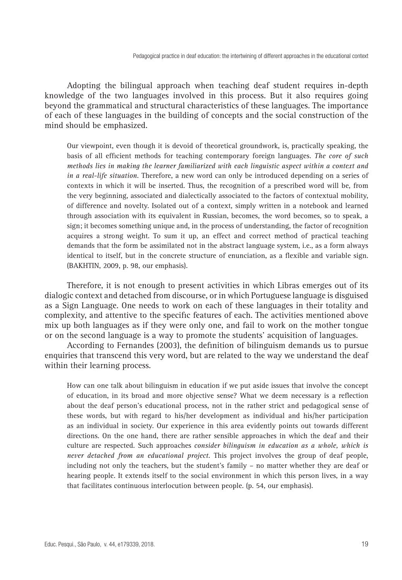Adopting the bilingual approach when teaching deaf student requires in-depth knowledge of the two languages involved in this process. But it also requires going beyond the grammatical and structural characteristics of these languages. The importance of each of these languages in the building of concepts and the social construction of the mind should be emphasized.

Our viewpoint, even though it is devoid of theoretical groundwork, is, practically speaking, the basis of all efficient methods for teaching contemporary foreign languages. *The core of such methods lies in making the learner familiarized with each linguistic aspect within a context and in a real-life situation.* Therefore, a new word can only be introduced depending on a series of contexts in which it will be inserted. Thus, the recognition of a prescribed word will be, from the very beginning, associated and dialectically associated to the factors of contextual mobility, of difference and novelty. Isolated out of a context, simply written in a notebook and learned through association with its equivalent in Russian, becomes, the word becomes, so to speak, a sign; it becomes something unique and, in the process of understanding, the factor of recognition acquires a strong weight. To sum it up, an effect and correct method of practical teaching demands that the form be assimilated not in the abstract language system, i.e., as a form always identical to itself, but in the concrete structure of enunciation, as a flexible and variable sign. (BAKHTIN, 2009, p. 98, our emphasis).

Therefore, it is not enough to present activities in which Libras emerges out of its dialogic context and detached from discourse, or in which Portuguese language is disguised as a Sign Language. One needs to work on each of these languages in their totality and complexity, and attentive to the specific features of each. The activities mentioned above mix up both languages as if they were only one, and fail to work on the mother tongue or on the second language is a way to promote the students' acquisition of languages.

According to Fernandes (2003), the definition of bilinguism demands us to pursue enquiries that transcend this very word, but are related to the way we understand the deaf within their learning process.

How can one talk about bilinguism in education if we put aside issues that involve the concept of education, in its broad and more objective sense? What we deem necessary is a reflection about the deaf person's educational process, not in the rather strict and pedagogical sense of these words, but with regard to his/her development as individual and his/her participation as an individual in society. Our experience in this area evidently points out towards different directions. On the one hand, there are rather sensible approaches in which the deaf and their culture are respected. Such approaches *consider bilinguism in education as a whole, which is never detached from an educational project.* This project involves the group of deaf people, including not only the teachers, but the student's family – no matter whether they are deaf or hearing people. It extends itself to the social environment in which this person lives, in a way that facilitates continuous interlocution between people. (p. 54, our emphasis).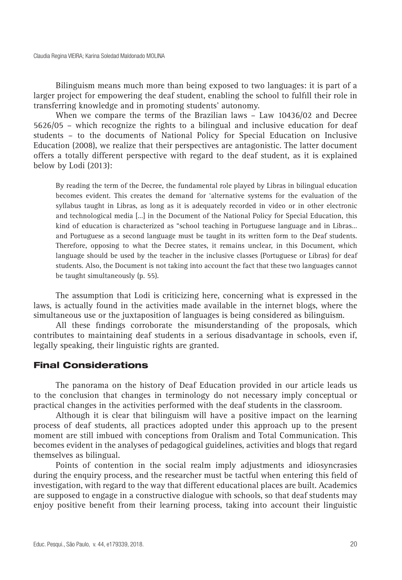Bilinguism means much more than being exposed to two languages: it is part of a larger project for empowering the deaf student, enabling the school to fulfill their role in transferring knowledge and in promoting students' autonomy.

When we compare the terms of the Brazilian laws – Law 10436/02 and Decree 5626/05 – which recognize the rights to a bilingual and inclusive education for deaf students – to the documents of National Policy for Special Education on Inclusive Education (2008), we realize that their perspectives are antagonistic. The latter document offers a totally different perspective with regard to the deaf student, as it is explained below by Lodi (2013):

By reading the term of the Decree, the fundamental role played by Libras in bilingual education becomes evident. This creates the demand for 'alternative systems for the evaluation of the syllabus taught in Libras, as long as it is adequately recorded in video or in other electronic and technological media […] in the Document of the National Policy for Special Education, this kind of education is characterized as "school teaching in Portuguese language and in Libras… and Portuguese as a second language must be taught in its written form to the Deaf students. Therefore, opposing to what the Decree states, it remains unclear, in this Document, which language should be used by the teacher in the inclusive classes (Portuguese or Libras) for deaf students. Also, the Document is not taking into account the fact that these two languages cannot be taught simultaneously (p. 55).

The assumption that Lodi is criticizing here, concerning what is expressed in the laws, is actually found in the activities made available in the internet blogs, where the simultaneous use or the juxtaposition of languages is being considered as bilinguism.

All these findings corroborate the misunderstanding of the proposals, which contributes to maintaining deaf students in a serious disadvantage in schools, even if, legally speaking, their linguistic rights are granted.

#### Final Considerations

The panorama on the history of Deaf Education provided in our article leads us to the conclusion that changes in terminology do not necessary imply conceptual or practical changes in the activities performed with the deaf students in the classroom.

Although it is clear that bilinguism will have a positive impact on the learning process of deaf students, all practices adopted under this approach up to the present moment are still imbued with conceptions from Oralism and Total Communication. This becomes evident in the analyses of pedagogical guidelines, activities and blogs that regard themselves as bilingual.

Points of contention in the social realm imply adjustments and idiosyncrasies during the enquiry process, and the researcher must be tactful when entering this field of investigation, with regard to the way that different educational places are built. Academics are supposed to engage in a constructive dialogue with schools, so that deaf students may enjoy positive benefit from their learning process, taking into account their linguistic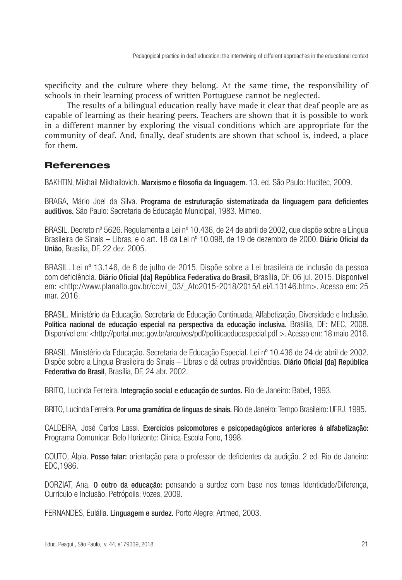specificity and the culture where they belong. At the same time, the responsibility of schools in their learning process of written Portuguese cannot be neglected.

The results of a bilingual education really have made it clear that deaf people are as capable of learning as their hearing peers. Teachers are shown that it is possible to work in a different manner by exploring the visual conditions which are appropriate for the community of deaf. And, finally, deaf students are shown that school is, indeed, a place for them.

## **References**

BAKHTIN, Mikhail Mikhailovich. Marxismo e filosofia da linguagem. 13. ed. São Paulo: Hucitec, 2009.

BRAGA, Mário Joel da Silva. Programa de estruturação sistematizada da linguagem para deficientes auditivos. São Paulo: Secretaria de Educação Municipal, 1983. Mimeo.

BRASIL. Decreto nº 5626. Regulamenta a Lei nº 10.436, de 24 de abril de 2002, que dispõe sobre a Língua Brasileira de Sinais – Libras, e o art. 18 da Lei nº 10.098, de 19 de dezembro de 2000. Diário Oficial da União, Brasília, DF, 22 dez. 2005.

BRASIL. Lei nº 13.146, de 6 de julho de 2015. Dispõe sobre a Lei brasileira de inclusão da pessoa com deficiência. Diário Oficial [da] República Federativa do Brasil, Brasília, DF, 06 jul. 2015. Disponível em: <http://www.planalto.gov.br/ccivil\_03/\_Ato2015-2018/2015/Lei/L13146.htm>. Acesso em: 25 mar. 2016.

BRASIL. Ministério da Educação. Secretaria de Educação Continuada, Alfabetização, Diversidade e Inclusão. Política nacional de educação especial na perspectiva da educação inclusiva. Brasília, DF: MEC, 2008. Disponível em: <http://portal.mec.gov.br/arquivos/pdf/politicaeducespecial.pdf > Acesso em: 18 maio 2016.

BRASIL. Ministério da Educação. Secretaria de Educação Especial. Lei nº 10.436 de 24 de abril de 2002. Dispõe sobre a Língua Brasileira de Sinais – Libras e dá outras providências. Diário Oficial [da] República Federativa do Brasil, Brasília, DF, 24 abr. 2002.

BRITO, Lucinda Ferreira. Integração social e educação de surdos. Rio de Janeiro: Babel, 1993.

BRITO, Lucinda Ferreira. Por uma gramática de línguas de sinais. Rio de Janeiro: Tempo Brasileiro: UFRJ, 1995.

CALDEIRA, José Carlos Lassi. Exercícios psicomotores e psicopedagógicos anteriores à alfabetização: Programa Comunicar. Belo Horizonte: Clínica-Escola Fono, 1998.

COUTO, Álpia. Posso falar: orientação para o professor de deficientes da audição. 2 ed. Rio de Janeiro: EDC,1986.

DORZIAT, Ana. O outro da educação: pensando a surdez com base nos temas Identidade/Diferença, Currículo e Inclusão. Petrópolis: Vozes, 2009.

FERNANDES, Eulália. Linguagem e surdez. Porto Alegre: Artmed, 2003.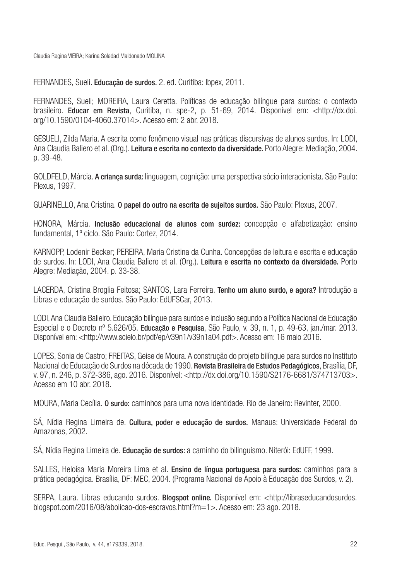Claudia Regina VIEIRA; Karina Soledad Maldonado MOLINA

FERNANDES, Sueli. Educação de surdos. 2. ed. Curitiba: Ibpex, 2011.

FERNANDES, Sueli; MOREIRA, Laura Ceretta. Políticas de educação bilíngue para surdos: o contexto brasileiro. Educar em Revista, Curitiba, n. spe-2, p. 51-69, 2014. Disponível em: <http://dx.doi. org/10.1590/0104-4060.37014>. Acesso em: 2 abr. 2018.

GESUELI, Zilda Maria. A escrita como fenômeno visual nas práticas discursivas de alunos surdos. In: LODI, Ana Claudia Baliero et al. (Org.). Leitura e escrita no contexto da diversidade. Porto Alegre: Mediação, 2004. p. 39-48.

GOLDFELD, Márcia. A criança surda: linguagem, cognição: uma perspectiva sócio interacionista. São Paulo: Plexus, 1997.

GUARINELLO, Ana Cristina. O papel do outro na escrita de sujeitos surdos. São Paulo: Plexus, 2007.

HONORA, Márcia. Inclusão educacional de alunos com surdez: concepção e alfabetização: ensino fundamental, 1º ciclo. São Paulo: Cortez, 2014.

KARNOPP, Lodenir Becker; PEREIRA, Maria Cristina da Cunha. Concepções de leitura e escrita e educação de surdos. In: LODI, Ana Claudia Baliero et al. (Org.). Leitura e escrita no contexto da diversidade. Porto Alegre: Mediação, 2004. p. 33-38.

LACERDA, Cristina Broglia Feitosa; SANTOS, Lara Ferreira. Tenho um aluno surdo, e agora? Introdução a Libras e educação de surdos. São Paulo: EdUFSCar, 2013.

LODI, Ana Claudia Balieiro. Educação bilíngue para surdos e inclusão segundo a Política Nacional de Educação Especial e o Decreto nº 5.626/05. Educação e Pesquisa, São Paulo, v. 39, n. 1, p. 49-63, jan./mar. 2013. Disponível em: <http://www.scielo.br/pdf/ep/v39n1/v39n1a04.pdf>. Acesso em: 16 maio 2016.

LOPES, Sonia de Castro; FREITAS, Geise de Moura. A construção do projeto bilíngue para surdos no Instituto Nacional de Educação de Surdos na década de 1990. **Revista Brasileira de Estudos Pedagógicos**, Brasília, DF, v. 97, n. 246, p. 372-386, ago. 2016. Disponível: <http://dx.doi.org/10.1590/S2176-6681/374713703>. Acesso em 10 abr. 2018.

MOURA, Maria Cecília. O surdo: caminhos para uma nova identidade. Rio de Janeiro: Revinter, 2000.

SÁ, Nídia Regina Limeira de. Cultura, poder e educação de surdos. Manaus: Universidade Federal do Amazonas, 2002.

SÁ, Nídia Regina Limeira de. Educação de surdos: a caminho do bilinguismo. Niterói: EdUFF, 1999.

SALLES, Heloísa Maria Moreira Lima et al. Ensino de língua portuguesa para surdos: caminhos para a prática pedagógica. Brasília, DF: MEC, 2004. (Programa Nacional de Apoio à Educação dos Surdos, v. 2).

SERPA, Laura. Libras educando surdos. Blogspot online. Disponível em: <http://libraseducandosurdos. blogspot.com/2016/08/abolicao-dos-escravos.html?m=1>. Acesso em: 23 ago. 2018.